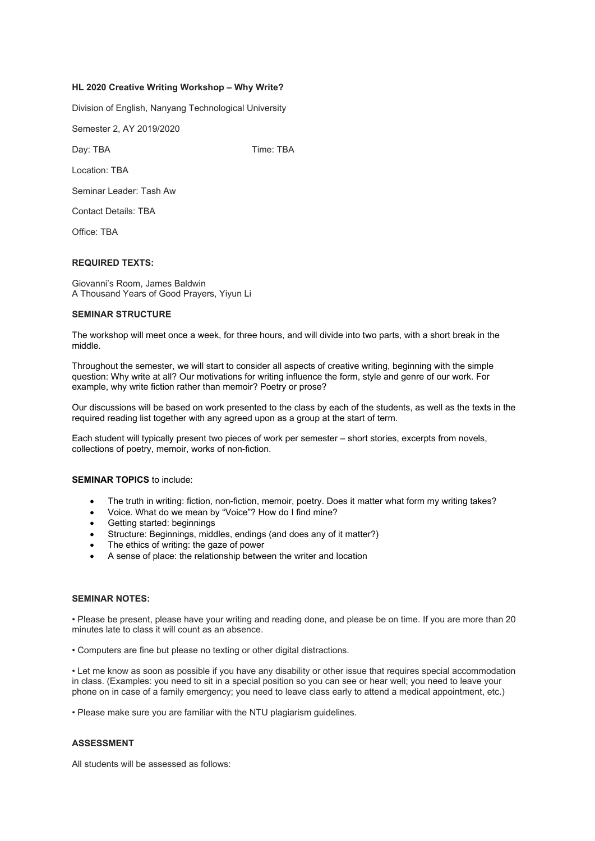# **HL 2020 Creative Writing Workshop – Why Write?**

Division of English, Nanyang Technological University

Semester 2, AY 2019/2020

Day: TBA Time: TBA

Location: TBA

Seminar Leader: Tash Aw

Contact Details: TBA

Office: TBA

# **REQUIRED TEXTS:**

Giovanni's Room, James Baldwin A Thousand Years of Good Prayers, Yiyun Li

### **SEMINAR STRUCTURE**

The workshop will meet once a week, for three hours, and will divide into two parts, with a short break in the middle.

Throughout the semester, we will start to consider all aspects of creative writing, beginning with the simple question: Why write at all? Our motivations for writing influence the form, style and genre of our work. For example, why write fiction rather than memoir? Poetry or prose?

Our discussions will be based on work presented to the class by each of the students, as well as the texts in the required reading list together with any agreed upon as a group at the start of term.

Each student will typically present two pieces of work per semester – short stories, excerpts from novels, collections of poetry, memoir, works of non-fiction.

#### **SEMINAR TOPICS** to include:

- The truth in writing: fiction, non-fiction, memoir, poetry. Does it matter what form my writing takes?
- Voice. What do we mean by "Voice"? How do I find mine?
- Getting started: beginnings
- Structure: Beginnings, middles, endings (and does any of it matter?)
- The ethics of writing: the gaze of power
- A sense of place: the relationship between the writer and location

#### **SEMINAR NOTES:**

• Please be present, please have your writing and reading done, and please be on time. If you are more than 20 minutes late to class it will count as an absence.

• Computers are fine but please no texting or other digital distractions.

• Let me know as soon as possible if you have any disability or other issue that requires special accommodation in class. (Examples: you need to sit in a special position so you can see or hear well; you need to leave your phone on in case of a family emergency; you need to leave class early to attend a medical appointment, etc.)

• Please make sure you are familiar with the NTU plagiarism guidelines.

## **ASSESSMENT**

All students will be assessed as follows: